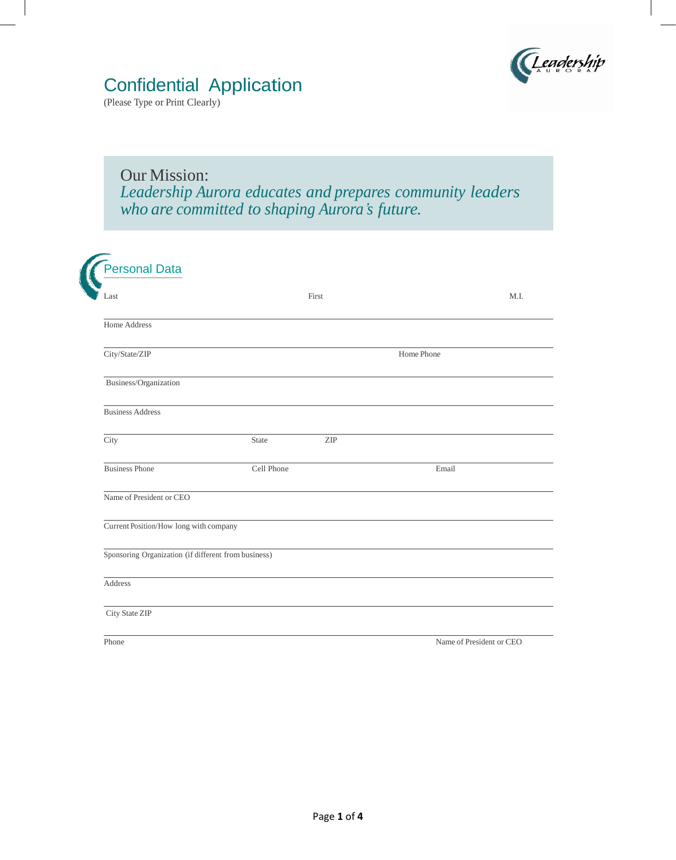

## Confidential Application

(Please Type or Print Clearly)

Our Mission: *Leadership Aurora educates and prepares community leaders who are committed to shaping Aurora's future.*

| Last                                                 |            | First                       |       | M.I. |
|------------------------------------------------------|------------|-----------------------------|-------|------|
| Home Address                                         |            |                             |       |      |
| City/State/ZIP                                       |            | Home Phone                  |       |      |
| Business/Organization                                |            |                             |       |      |
| <b>Business Address</b>                              |            |                             |       |      |
| City                                                 | State      | $\ensuremath{\mathrm{ZIP}}$ |       |      |
| <b>Business Phone</b>                                | Cell Phone |                             | Email |      |
| Name of President or CEO                             |            |                             |       |      |
| Current Position/How long with company               |            |                             |       |      |
| Sponsoring Organization (if different from business) |            |                             |       |      |
| Address                                              |            |                             |       |      |
| City State ZIP                                       |            |                             |       |      |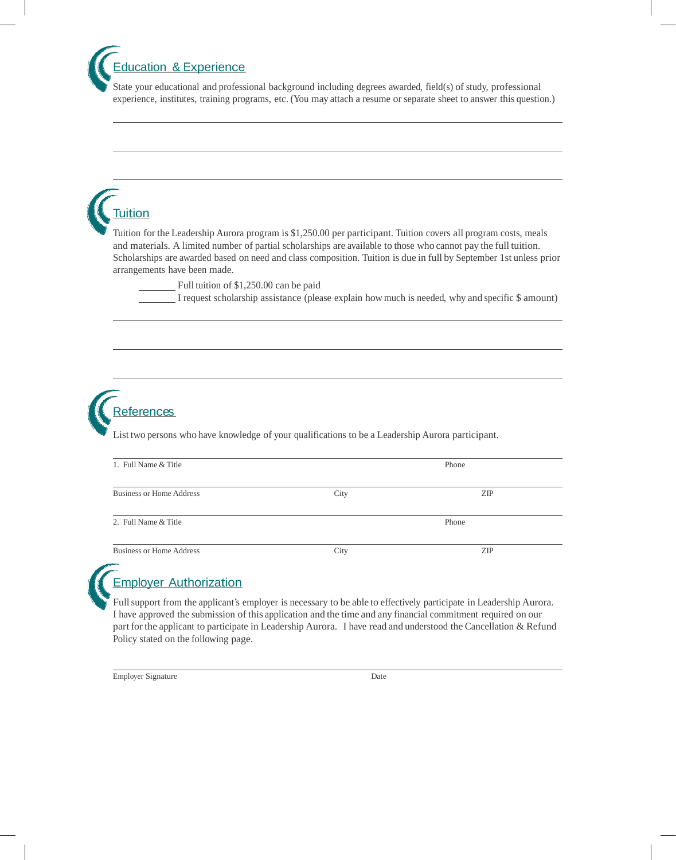Education & Experience

State your educational and professional background including degrees awarded, field(s) of study, professional experience, institutes, training programs, etc. (You may attach a resume or separate sheet to answer this question.)

# **Tuition**

Tuition for the Leadership Aurora program is \$1,250.00 per participant. Tuition covers all program costs, meals and materials. A limited number of partial scholarships are available to those who cannot pay the full tuition. Scholarships are awarded based on need and class composition. Tuition is due in full by September 1st unless prior arrangements have been made.

Full tuition of \$1,250.00 can be paid

I request scholarship assistance (please explain howmuch is needed, why and specific \$ amount)



List two persons who have knowledge of your qualifications to be a Leadership Aurora participant.

| 1. Full Name & Title            |      | Phone      |  |
|---------------------------------|------|------------|--|
| <b>Business or Home Address</b> | City | <b>ZIP</b> |  |
| 2. Full Name & Title            |      | Phone      |  |
| <b>Business or Home Address</b> | City | ZIP        |  |



#### Employer Authorization

Fullsupport from the applicant's employer is necessary to be able to effectively participate in Leadership Aurora. I have approved the submission of this application and the time and any financial commitment required on our part for the applicant to participate in Leadership Aurora. I have read and understood the Cancellation & Refund Policy stated on the following page.

Employer Signature Date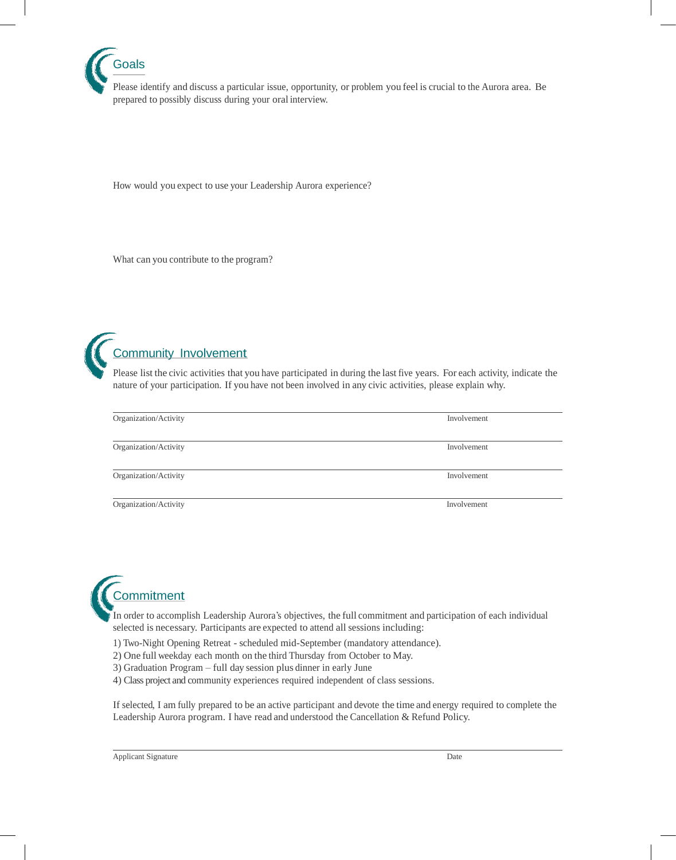

Please identify and discuss a particular issue, opportunity, or problem you feel is crucial to the Aurora area. Be prepared to possibly discuss during your oral interview.

How would you expect to use your Leadership Aurora experience?

What can you contribute to the program?



### Community Involvement

Please list the civic activities that you have participated in during the last five years. For each activity, indicate the nature of your participation. If you have not been involved in any civic activities, please explain why.

| Organization/Activity | Involvement |
|-----------------------|-------------|
| Organization/Activity | Involvement |
| Organization/Activity | Involvement |
| Organization/Activity | Involvement |



In order to accomplish Leadership Aurora's objectives, the full commitment and participation of each individual selected is necessary. Participants are expected to attend all sessions including:

- 1) Two-Night Opening Retreat scheduled mid-September (mandatory attendance).
- 2) One full weekday each month on the third Thursday from October to May.
- 3) Graduation Program full day session plus dinner in early June
- 4) Class project and community experiences required independent of class sessions.

If selected, I am fully prepared to be an active participant and devote the time and energy required to complete the Leadership Aurora program. I have read and understood the Cancellation & Refund Policy.

Applicant Signature Date **Date**